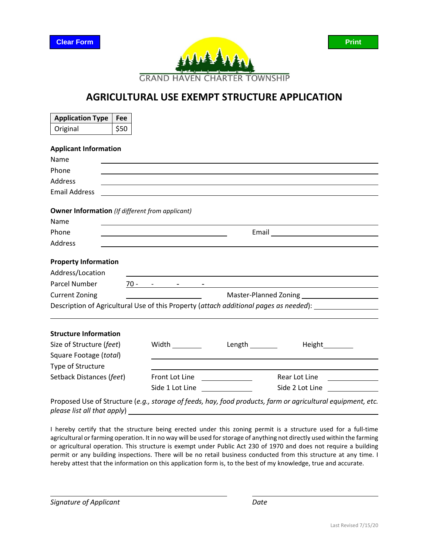

## **AGRICULTURAL USE EXEMPT STRUCTURE APPLICATION**

| <b>Application Type</b>                                | Fee  |                 |                                                |                                                                                                             |
|--------------------------------------------------------|------|-----------------|------------------------------------------------|-------------------------------------------------------------------------------------------------------------|
| Original                                               | \$50 |                 |                                                |                                                                                                             |
| <b>Applicant Information</b>                           |      |                 |                                                |                                                                                                             |
| Name                                                   |      |                 |                                                |                                                                                                             |
| Phone                                                  |      |                 |                                                |                                                                                                             |
| Address                                                |      |                 |                                                |                                                                                                             |
| <b>Email Address</b>                                   |      |                 |                                                |                                                                                                             |
| <b>Owner Information</b> (If different from applicant) |      |                 |                                                |                                                                                                             |
| Name                                                   |      |                 |                                                |                                                                                                             |
| Phone                                                  |      |                 |                                                |                                                                                                             |
| Address                                                |      |                 |                                                |                                                                                                             |
| Address/Location<br>Parcel Number                      |      |                 |                                                |                                                                                                             |
| <b>Current Zoning</b>                                  |      |                 | Master-Planned Zoning ________________________ |                                                                                                             |
|                                                        |      |                 |                                                | Description of Agricultural Use of this Property (attach additional pages as needed): __                    |
| <b>Structure Information</b>                           |      |                 |                                                |                                                                                                             |
| Size of Structure (feet)                               |      | Width           | Length ________                                | Height__________                                                                                            |
| Square Footage (total)                                 |      |                 |                                                |                                                                                                             |
| Type of Structure                                      |      |                 |                                                |                                                                                                             |
| Setback Distances (feet)                               |      | Front Lot Line  |                                                | Rear Lot Line<br><u> 1999 - Jan Barnett, franc</u>                                                          |
|                                                        |      | Side 1 Lot Line |                                                | Side 2 Lot Line                                                                                             |
| please list all that apply)                            |      |                 |                                                | Proposed Use of Structure (e.g., storage of feeds, hay, food products, farm or agricultural equipment, etc. |

I hereby certify that the structure being erected under this zoning permit is a structure used for a full-time agricultural or farming operation. It in no way will be used for storage of anything not directly used within the farming or agricultural operation. This structure is exempt under Public Act 230 of 1970 and does not require a building permit or any building inspections. There will be no retail business conducted from this structure at any time. I hereby attest that the information on this application form is, to the best of my knowledge, true and accurate.

*Signature of Applicant Date*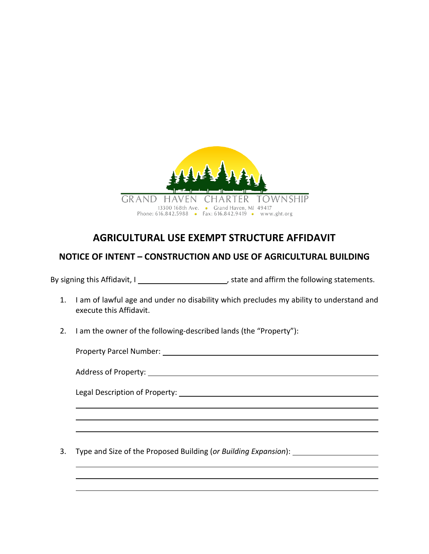

## **AGRICULTURAL USE EXEMPT STRUCTURE AFFIDAVIT**

## **NOTICE OF INTENT – CONSTRUCTION AND USE OF AGRICULTURAL BUILDING**

By signing this Affidavit, I *imitially state and affirm the following statements*.

- 1. I am of lawful age and under no disability which precludes my ability to understand and execute this Affidavit.
- 2. I am the owner of the following-described lands (the "Property"):

Property Parcel Number:

Address of Property:

Legal Description of Property:

3. Type and Size of the Proposed Building (*or Building Expansion*):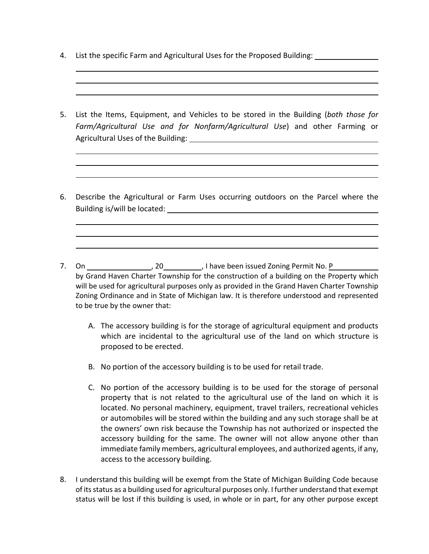- 4. List the specific Farm and Agricultural Uses for the Proposed Building:
- 5. List the Items, Equipment, and Vehicles to be stored in the Building (*both those for Farm/Agricultural Use and for Nonfarm/Agricultural Use*) and other Farming or Agricultural Uses of the Building: \\corresponding \\corresponding \\corresponding \\corresponding \\corresponding \\corresponding \\corresponding \\corresponding \\corresponding \\corresponding \\corresponding \\correspon
- 6. Describe the Agricultural or Farm Uses occurring outdoors on the Parcel where the Building is/will be located:
- 7. On , 20 , I have been issued Zoning Permit No. P by Grand Haven Charter Township for the construction of a building on the Property which will be used for agricultural purposes only as provided in the Grand Haven Charter Township Zoning Ordinance and in State of Michigan law. It is therefore understood and represented to be true by the owner that:
	- A. The accessory building is for the storage of agricultural equipment and products which are incidental to the agricultural use of the land on which structure is proposed to be erected.
	- B. No portion of the accessory building is to be used for retail trade.
	- C. No portion of the accessory building is to be used for the storage of personal property that is not related to the agricultural use of the land on which it is located. No personal machinery, equipment, travel trailers, recreational vehicles or automobiles will be stored within the building and any such storage shall be at the owners' own risk because the Township has not authorized or inspected the accessory building for the same. The owner will not allow anyone other than immediate family members, agricultural employees, and authorized agents, if any, access to the accessory building.
- 8. I understand this building will be exempt from the State of Michigan Building Code because of its status as a building used for agricultural purposes only. I further understand that exempt status will be lost if this building is used, in whole or in part, for any other purpose except